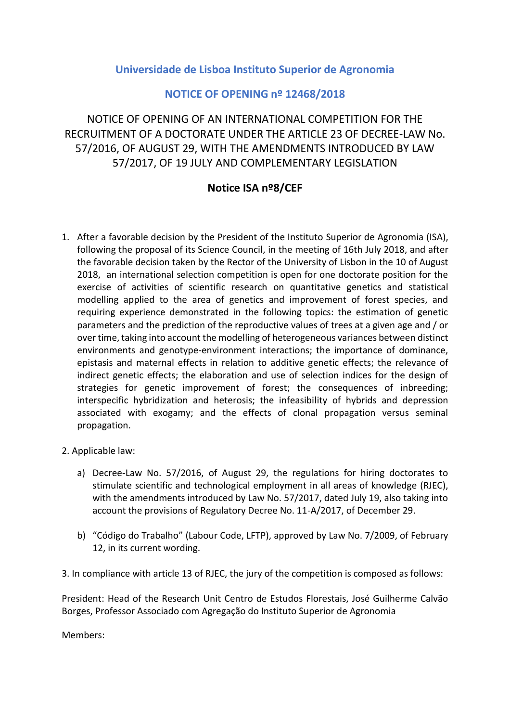## **Universidade de Lisboa Instituto Superior de Agronomia**

## **NOTICE OF OPENING nº 12468/2018**

NOTICE OF OPENING OF AN INTERNATIONAL COMPETITION FOR THE RECRUITMENT OF A DOCTORATE UNDER THE ARTICLE 23 OF DECREE-LAW No. 57/2016, OF AUGUST 29, WITH THE AMENDMENTS INTRODUCED BY LAW 57/2017, OF 19 JULY AND COMPLEMENTARY LEGISLATION

## **Notice ISA nº8/CEF**

- 1. After a favorable decision by the President of the Instituto Superior de Agronomia (ISA), following the proposal of its Science Council, in the meeting of 16th July 2018, and after the favorable decision taken by the Rector of the University of Lisbon in the 10 of August 2018, an international selection competition is open for one doctorate position for the exercise of activities of scientific research on quantitative genetics and statistical modelling applied to the area of genetics and improvement of forest species, and requiring experience demonstrated in the following topics: the estimation of genetic parameters and the prediction of the reproductive values of trees at a given age and / or over time, taking into account the modelling of heterogeneous variances between distinct environments and genotype-environment interactions; the importance of dominance, epistasis and maternal effects in relation to additive genetic effects; the relevance of indirect genetic effects; the elaboration and use of selection indices for the design of strategies for genetic improvement of forest; the consequences of inbreeding; interspecific hybridization and heterosis; the infeasibility of hybrids and depression associated with exogamy; and the effects of clonal propagation versus seminal propagation.
- 2. Applicable law:
	- a) Decree-Law No. 57/2016, of August 29, the regulations for hiring doctorates to stimulate scientific and technological employment in all areas of knowledge (RJEC), with the amendments introduced by Law No. 57/2017, dated July 19, also taking into account the provisions of Regulatory Decree No. 11-A/2017, of December 29.
	- b) "Código do Trabalho" (Labour Code, LFTP), approved by Law No. 7/2009, of February 12, in its current wording.
- 3. In compliance with article 13 of RJEC, the jury of the competition is composed as follows:

President: Head of the Research Unit Centro de Estudos Florestais, José Guilherme Calvão Borges, Professor Associado com Agregação do Instituto Superior de Agronomia

Members: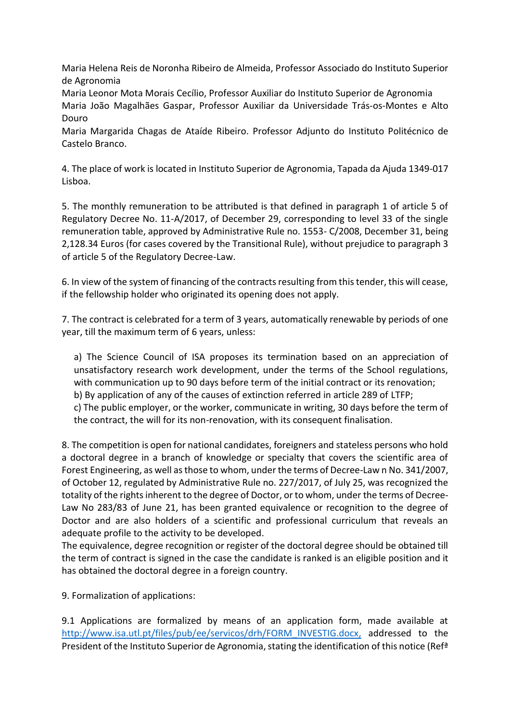Maria Helena Reis de Noronha Ribeiro de Almeida, Professor Associado do Instituto Superior de Agronomia

Maria Leonor Mota Morais Cecílio, Professor Auxiliar do Instituto Superior de Agronomia Maria João Magalhães Gaspar, Professor Auxiliar da Universidade Trás-os-Montes e Alto Douro

Maria Margarida Chagas de Ataíde Ribeiro. Professor Adjunto do Instituto Politécnico de Castelo Branco.

4. The place of work is located in Instituto Superior de Agronomia, Tapada da Ajuda 1349-017 Lisboa.

5. The monthly remuneration to be attributed is that defined in paragraph 1 of article 5 of Regulatory Decree No. 11-A/2017, of December 29, corresponding to level 33 of the single remuneration table, approved by Administrative Rule no. 1553- C/2008, December 31, being 2,128.34 Euros (for cases covered by the Transitional Rule), without prejudice to paragraph 3 of article 5 of the Regulatory Decree-Law.

6. In view of the system of financing of the contracts resulting from this tender, this will cease, if the fellowship holder who originated its opening does not apply.

7. The contract is celebrated for a term of 3 years, automatically renewable by periods of one year, till the maximum term of 6 years, unless:

a) The Science Council of ISA proposes its termination based on an appreciation of unsatisfactory research work development, under the terms of the School regulations, with communication up to 90 days before term of the initial contract or its renovation; b) By application of any of the causes of extinction referred in article 289 of LTFP; c) The public employer, or the worker, communicate in writing, 30 days before the term of the contract, the will for its non-renovation, with its consequent finalisation.

8. The competition is open for national candidates, foreigners and stateless persons who hold a doctoral degree in a branch of knowledge or specialty that covers the scientific area of Forest Engineering, as well as those to whom, under the terms of Decree-Law n No. 341/2007, of October 12, regulated by Administrative Rule no. 227/2017, of July 25, was recognized the totality of the rights inherent to the degree of Doctor, or to whom, under the terms of Decree-Law No 283/83 of June 21, has been granted equivalence or recognition to the degree of Doctor and are also holders of a scientific and professional curriculum that reveals an adequate profile to the activity to be developed.

The equivalence, degree recognition or register of the doctoral degree should be obtained till the term of contract is signed in the case the candidate is ranked is an eligible position and it has obtained the doctoral degree in a foreign country.

9. Formalization of applications:

9.1 Applications are formalized by means of an application form, made available at [http://www.isa.utl.pt/files/pub/ee/servicos/drh/FORM\\_INVESTIG.docx,](http://www.isa.utl.pt/files/pub/ee/servicos/drh/FORM_INVESTIG.docx) addressed to the President of the Instituto Superior de Agronomia, stating the identification of this notice (Refª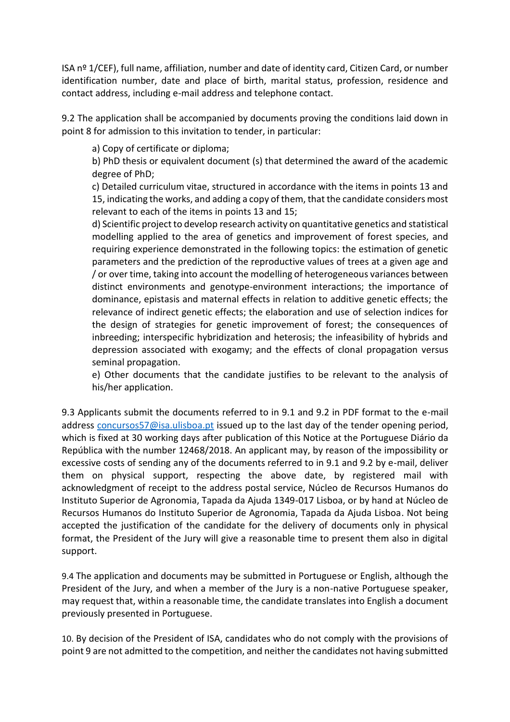ISA nº 1/CEF), full name, affiliation, number and date of identity card, Citizen Card, or number identification number, date and place of birth, marital status, profession, residence and contact address, including e-mail address and telephone contact.

9.2 The application shall be accompanied by documents proving the conditions laid down in point 8 for admission to this invitation to tender, in particular:

a) Copy of certificate or diploma;

b) PhD thesis or equivalent document (s) that determined the award of the academic degree of PhD;

c) Detailed curriculum vitae, structured in accordance with the items in points 13 and 15, indicating the works, and adding a copy of them, that the candidate considers most relevant to each of the items in points 13 and 15;

d) Scientific project to develop research activity on quantitative genetics and statistical modelling applied to the area of genetics and improvement of forest species, and requiring experience demonstrated in the following topics: the estimation of genetic parameters and the prediction of the reproductive values of trees at a given age and / or over time, taking into account the modelling of heterogeneous variances between distinct environments and genotype-environment interactions; the importance of dominance, epistasis and maternal effects in relation to additive genetic effects; the relevance of indirect genetic effects; the elaboration and use of selection indices for the design of strategies for genetic improvement of forest; the consequences of inbreeding; interspecific hybridization and heterosis; the infeasibility of hybrids and depression associated with exogamy; and the effects of clonal propagation versus seminal propagation.

e) Other documents that the candidate justifies to be relevant to the analysis of his/her application.

9.3 Applicants submit the documents referred to in 9.1 and 9.2 in PDF format to the e-mail address [concursos57@isa.ulisboa.pt](mailto:concursos57@isa.ulisboa.pt) issued up to the last day of the tender opening period, which is fixed at 30 working days after publication of this Notice at the Portuguese Diário da República with the number 12468/2018. An applicant may, by reason of the impossibility or excessive costs of sending any of the documents referred to in 9.1 and 9.2 by e-mail, deliver them on physical support, respecting the above date, by registered mail with acknowledgment of receipt to the address postal service, Núcleo de Recursos Humanos do Instituto Superior de Agronomia, Tapada da Ajuda 1349-017 Lisboa, or by hand at Núcleo de Recursos Humanos do Instituto Superior de Agronomia, Tapada da Ajuda Lisboa. Not being accepted the justification of the candidate for the delivery of documents only in physical format, the President of the Jury will give a reasonable time to present them also in digital support.

9.4 The application and documents may be submitted in Portuguese or English, although the President of the Jury, and when a member of the Jury is a non-native Portuguese speaker, may request that, within a reasonable time, the candidate translates into English a document previously presented in Portuguese.

10. By decision of the President of ISA, candidates who do not comply with the provisions of point 9 are not admitted to the competition, and neither the candidates not having submitted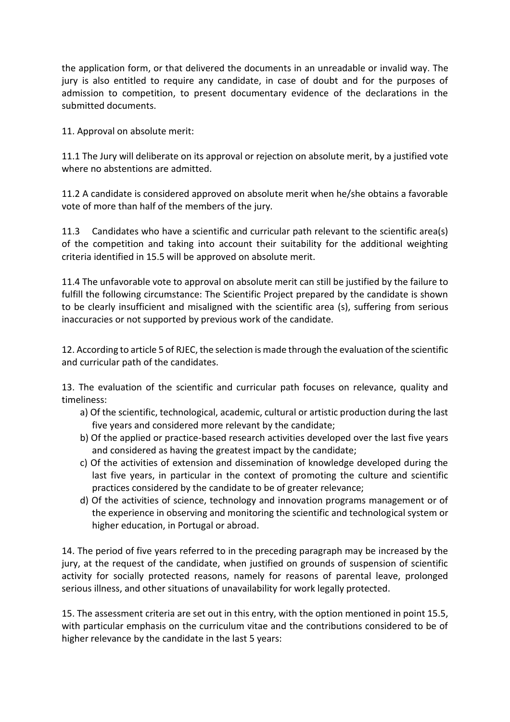the application form, or that delivered the documents in an unreadable or invalid way. The jury is also entitled to require any candidate, in case of doubt and for the purposes of admission to competition, to present documentary evidence of the declarations in the submitted documents.

11. Approval on absolute merit:

11.1 The Jury will deliberate on its approval or rejection on absolute merit, by a justified vote where no abstentions are admitted.

11.2 A candidate is considered approved on absolute merit when he/she obtains a favorable vote of more than half of the members of the jury.

11.3 Candidates who have a scientific and curricular path relevant to the scientific area(s) of the competition and taking into account their suitability for the additional weighting criteria identified in 15.5 will be approved on absolute merit.

11.4 The unfavorable vote to approval on absolute merit can still be justified by the failure to fulfill the following circumstance: The Scientific Project prepared by the candidate is shown to be clearly insufficient and misaligned with the scientific area (s), suffering from serious inaccuracies or not supported by previous work of the candidate.

12. According to article 5 of RJEC, the selection is made through the evaluation of the scientific and curricular path of the candidates.

13. The evaluation of the scientific and curricular path focuses on relevance, quality and timeliness:

- a) Of the scientific, technological, academic, cultural or artistic production during the last five years and considered more relevant by the candidate;
- b) Of the applied or practice-based research activities developed over the last five years and considered as having the greatest impact by the candidate;
- c) Of the activities of extension and dissemination of knowledge developed during the last five years, in particular in the context of promoting the culture and scientific practices considered by the candidate to be of greater relevance;
- d) Of the activities of science, technology and innovation programs management or of the experience in observing and monitoring the scientific and technological system or higher education, in Portugal or abroad.

14. The period of five years referred to in the preceding paragraph may be increased by the jury, at the request of the candidate, when justified on grounds of suspension of scientific activity for socially protected reasons, namely for reasons of parental leave, prolonged serious illness, and other situations of unavailability for work legally protected.

15. The assessment criteria are set out in this entry, with the option mentioned in point 15.5, with particular emphasis on the curriculum vitae and the contributions considered to be of higher relevance by the candidate in the last 5 years: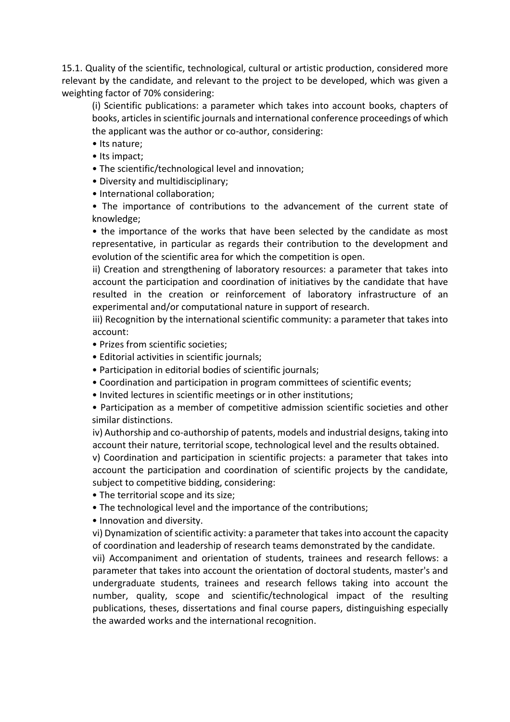15.1. Quality of the scientific, technological, cultural or artistic production, considered more relevant by the candidate, and relevant to the project to be developed, which was given a weighting factor of 70% considering:

(i) Scientific publications: a parameter which takes into account books, chapters of books, articles in scientific journals and international conference proceedings of which the applicant was the author or co-author, considering:

- Its nature;
- Its impact;
- The scientific/technological level and innovation;
- Diversity and multidisciplinary;
- International collaboration;

• The importance of contributions to the advancement of the current state of knowledge;

• the importance of the works that have been selected by the candidate as most representative, in particular as regards their contribution to the development and evolution of the scientific area for which the competition is open.

ii) Creation and strengthening of laboratory resources: a parameter that takes into account the participation and coordination of initiatives by the candidate that have resulted in the creation or reinforcement of laboratory infrastructure of an experimental and/or computational nature in support of research.

iii) Recognition by the international scientific community: a parameter that takes into account:

- Prizes from scientific societies;
- Editorial activities in scientific journals;
- Participation in editorial bodies of scientific journals;
- Coordination and participation in program committees of scientific events;
- Invited lectures in scientific meetings or in other institutions;

• Participation as a member of competitive admission scientific societies and other similar distinctions.

iv) Authorship and co-authorship of patents, models and industrial designs, taking into account their nature, territorial scope, technological level and the results obtained.

v) Coordination and participation in scientific projects: a parameter that takes into account the participation and coordination of scientific projects by the candidate, subject to competitive bidding, considering:

- The territorial scope and its size;
- The technological level and the importance of the contributions;
- Innovation and diversity.

vi) Dynamization of scientific activity: a parameter that takes into account the capacity of coordination and leadership of research teams demonstrated by the candidate.

vii) Accompaniment and orientation of students, trainees and research fellows: a parameter that takes into account the orientation of doctoral students, master's and undergraduate students, trainees and research fellows taking into account the number, quality, scope and scientific/technological impact of the resulting publications, theses, dissertations and final course papers, distinguishing especially the awarded works and the international recognition.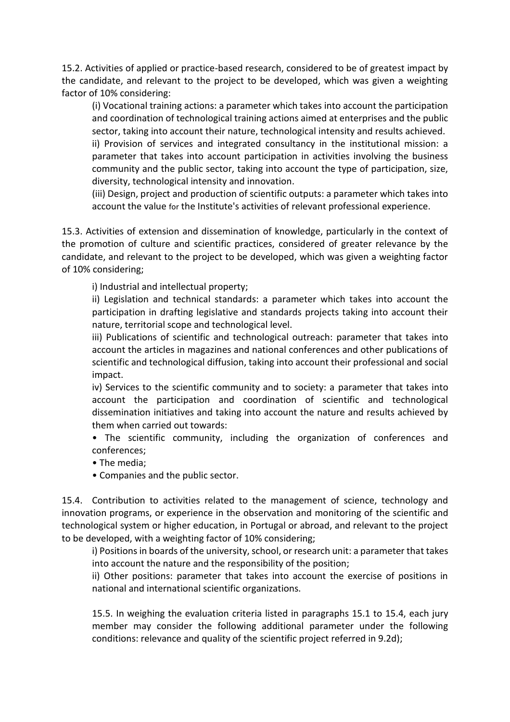15.2. Activities of applied or practice-based research, considered to be of greatest impact by the candidate, and relevant to the project to be developed, which was given a weighting factor of 10% considering:

(i) Vocational training actions: a parameter which takes into account the participation and coordination of technological training actions aimed at enterprises and the public sector, taking into account their nature, technological intensity and results achieved.

ii) Provision of services and integrated consultancy in the institutional mission: a parameter that takes into account participation in activities involving the business community and the public sector, taking into account the type of participation, size, diversity, technological intensity and innovation.

(iii) Design, project and production of scientific outputs: a parameter which takes into account the value for the Institute's activities of relevant professional experience.

15.3. Activities of extension and dissemination of knowledge, particularly in the context of the promotion of culture and scientific practices, considered of greater relevance by the candidate, and relevant to the project to be developed, which was given a weighting factor of 10% considering;

i) Industrial and intellectual property;

ii) Legislation and technical standards: a parameter which takes into account the participation in drafting legislative and standards projects taking into account their nature, territorial scope and technological level.

iii) Publications of scientific and technological outreach: parameter that takes into account the articles in magazines and national conferences and other publications of scientific and technological diffusion, taking into account their professional and social impact.

iv) Services to the scientific community and to society: a parameter that takes into account the participation and coordination of scientific and technological dissemination initiatives and taking into account the nature and results achieved by them when carried out towards:

• The scientific community, including the organization of conferences and conferences;

- The media;
- Companies and the public sector.

15.4. Contribution to activities related to the management of science, technology and innovation programs, or experience in the observation and monitoring of the scientific and technological system or higher education, in Portugal or abroad, and relevant to the project to be developed, with a weighting factor of 10% considering;

i) Positions in boards of the university, school, or research unit: a parameter that takes into account the nature and the responsibility of the position;

ii) Other positions: parameter that takes into account the exercise of positions in national and international scientific organizations.

15.5. In weighing the evaluation criteria listed in paragraphs 15.1 to 15.4, each jury member may consider the following additional parameter under the following conditions: relevance and quality of the scientific project referred in 9.2d);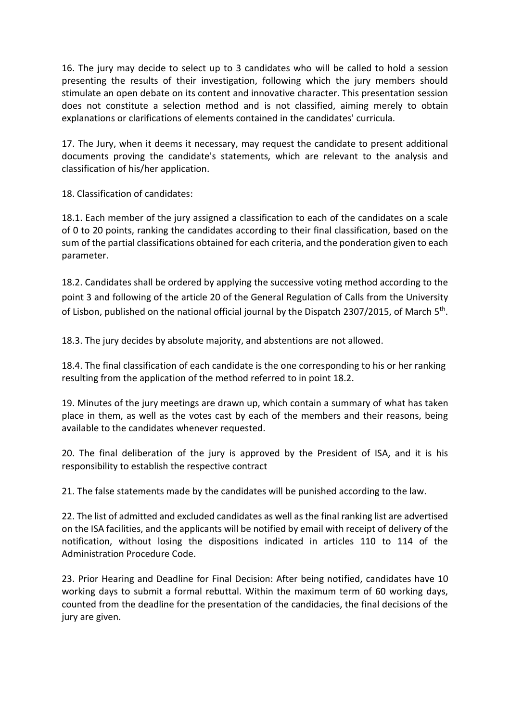16. The jury may decide to select up to 3 candidates who will be called to hold a session presenting the results of their investigation, following which the jury members should stimulate an open debate on its content and innovative character. This presentation session does not constitute a selection method and is not classified, aiming merely to obtain explanations or clarifications of elements contained in the candidates' curricula.

17. The Jury, when it deems it necessary, may request the candidate to present additional documents proving the candidate's statements, which are relevant to the analysis and classification of his/her application.

18. Classification of candidates:

18.1. Each member of the jury assigned a classification to each of the candidates on a scale of 0 to 20 points, ranking the candidates according to their final classification, based on the sum of the partial classifications obtained for each criteria, and the ponderation given to each parameter.

18.2. Candidates shall be ordered by applying the successive voting method according to the point 3 and following of the article 20 of the General Regulation of Calls from the University of Lisbon, published on the national official journal by the Dispatch 2307/2015, of March 5<sup>th</sup>.

18.3. The jury decides by absolute majority, and abstentions are not allowed.

18.4. The final classification of each candidate is the one corresponding to his or her ranking resulting from the application of the method referred to in point 18.2.

19. Minutes of the jury meetings are drawn up, which contain a summary of what has taken place in them, as well as the votes cast by each of the members and their reasons, being available to the candidates whenever requested.

20. The final deliberation of the jury is approved by the President of ISA, and it is his responsibility to establish the respective contract

21. The false statements made by the candidates will be punished according to the law.

22. The list of admitted and excluded candidates as well as the final ranking list are advertised on the ISA facilities, and the applicants will be notified by email with receipt of delivery of the notification, without losing the dispositions indicated in articles 110 to 114 of the Administration Procedure Code.

23. Prior Hearing and Deadline for Final Decision: After being notified, candidates have 10 working days to submit a formal rebuttal. Within the maximum term of 60 working days, counted from the deadline for the presentation of the candidacies, the final decisions of the jury are given.